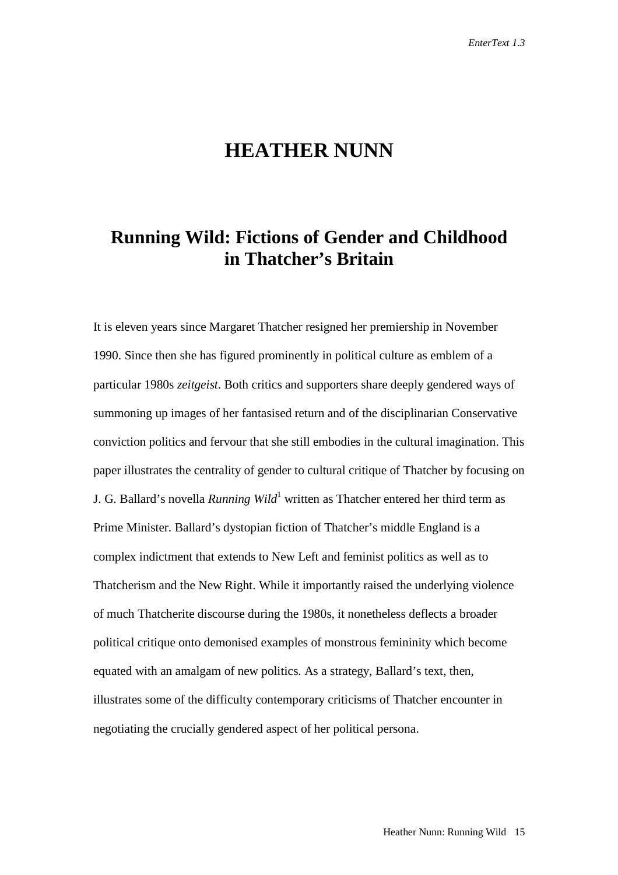# **HEATHER NUNN**

## **Running Wild: Fictions of Gender and Childhood in Thatcher's Britain**

It is eleven years since Margaret Thatcher resigned her premiership in November 1990. Since then she has figured prominently in political culture as emblem of a particular 1980s *zeitgeist*. Both critics and supporters share deeply gendered ways of summoning up images of her fantasised return and of the disciplinarian Conservative conviction politics and fervour that she still embodies in the cultural imagination. This paper illustrates the centrality of gender to cultural critique of Thatcher by focusing on J. G. Ballard's novella *Running Wild*<sup>1</sup> written as Thatcher entered her third term as Prime Minister. Ballard's dystopian fiction of Thatcher's middle England is a complex indictment that extends to New Left and feminist politics as well as to Thatcherism and the New Right. While it importantly raised the underlying violence of much Thatcherite discourse during the 1980s, it nonetheless deflects a broader political critique onto demonised examples of monstrous femininity which become equated with an amalgam of new politics. As a strategy, Ballard's text, then, illustrates some of the difficulty contemporary criticisms of Thatcher encounter in negotiating the crucially gendered aspect of her political persona.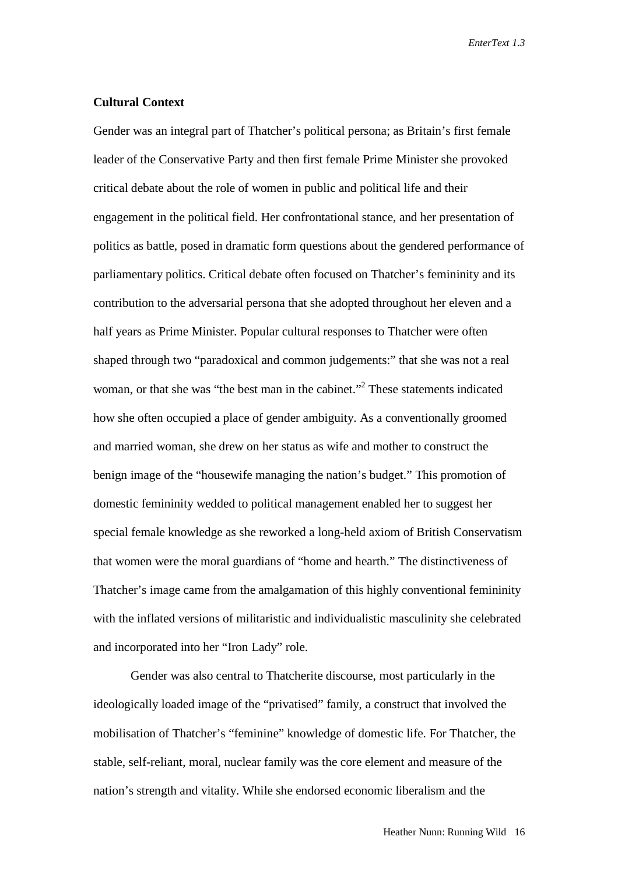### **Cultural Context**

Gender was an integral part of Thatcher's political persona; as Britain's first female leader of the Conservative Party and then first female Prime Minister she provoked critical debate about the role of women in public and political life and their engagement in the political field. Her confrontational stance, and her presentation of politics as battle, posed in dramatic form questions about the gendered performance of parliamentary politics. Critical debate often focused on Thatcher's femininity and its contribution to the adversarial persona that she adopted throughout her eleven and a half years as Prime Minister. Popular cultural responses to Thatcher were often shaped through two "paradoxical and common judgements:" that she was not a real woman, or that she was "the best man in the cabinet."<sup>2</sup> These statements indicated how she often occupied a place of gender ambiguity. As a conventionally groomed and married woman, she drew on her status as wife and mother to construct the benign image of the "housewife managing the nation's budget." This promotion of domestic femininity wedded to political management enabled her to suggest her special female knowledge as she reworked a long-held axiom of British Conservatism that women were the moral guardians of "home and hearth." The distinctiveness of Thatcher's image came from the amalgamation of this highly conventional femininity with the inflated versions of militaristic and individualistic masculinity she celebrated and incorporated into her "Iron Lady" role.

Gender was also central to Thatcherite discourse, most particularly in the ideologically loaded image of the "privatised" family, a construct that involved the mobilisation of Thatcher's "feminine" knowledge of domestic life. For Thatcher, the stable, self-reliant, moral, nuclear family was the core element and measure of the nation's strength and vitality. While she endorsed economic liberalism and the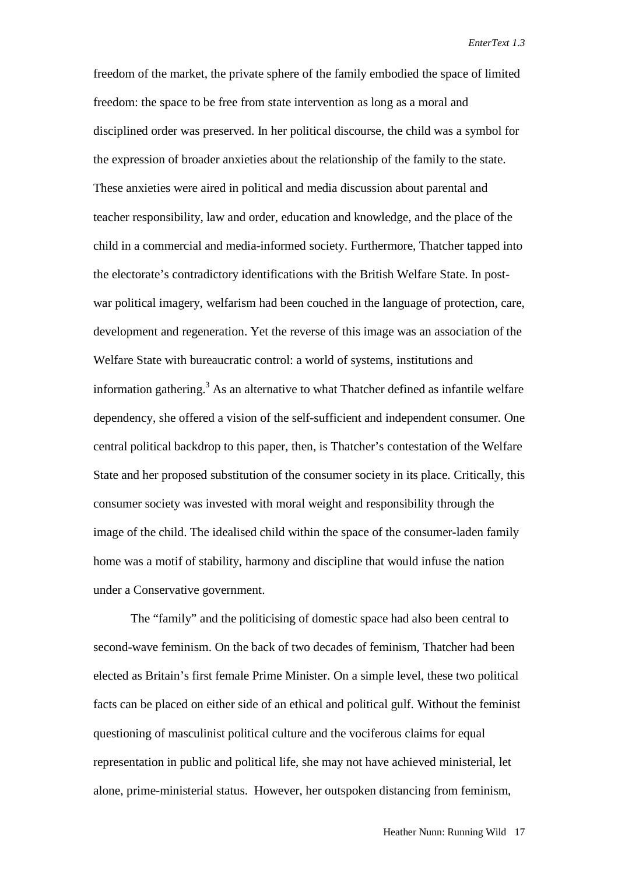freedom of the market, the private sphere of the family embodied the space of limited freedom: the space to be free from state intervention as long as a moral and disciplined order was preserved. In her political discourse, the child was a symbol for the expression of broader anxieties about the relationship of the family to the state. These anxieties were aired in political and media discussion about parental and teacher responsibility, law and order, education and knowledge, and the place of the child in a commercial and media-informed society. Furthermore, Thatcher tapped into the electorate's contradictory identifications with the British Welfare State. In postwar political imagery, welfarism had been couched in the language of protection, care, development and regeneration. Yet the reverse of this image was an association of the Welfare State with bureaucratic control: a world of systems, institutions and information gathering.<sup>3</sup> As an alternative to what Thatcher defined as infantile welfare dependency, she offered a vision of the self-sufficient and independent consumer. One central political backdrop to this paper, then, is Thatcher's contestation of the Welfare State and her proposed substitution of the consumer society in its place. Critically, this consumer society was invested with moral weight and responsibility through the image of the child. The idealised child within the space of the consumer-laden family home was a motif of stability, harmony and discipline that would infuse the nation under a Conservative government.

The "family" and the politicising of domestic space had also been central to second-wave feminism. On the back of two decades of feminism, Thatcher had been elected as Britain's first female Prime Minister. On a simple level, these two political facts can be placed on either side of an ethical and political gulf. Without the feminist questioning of masculinist political culture and the vociferous claims for equal representation in public and political life, she may not have achieved ministerial, let alone, prime-ministerial status. However, her outspoken distancing from feminism,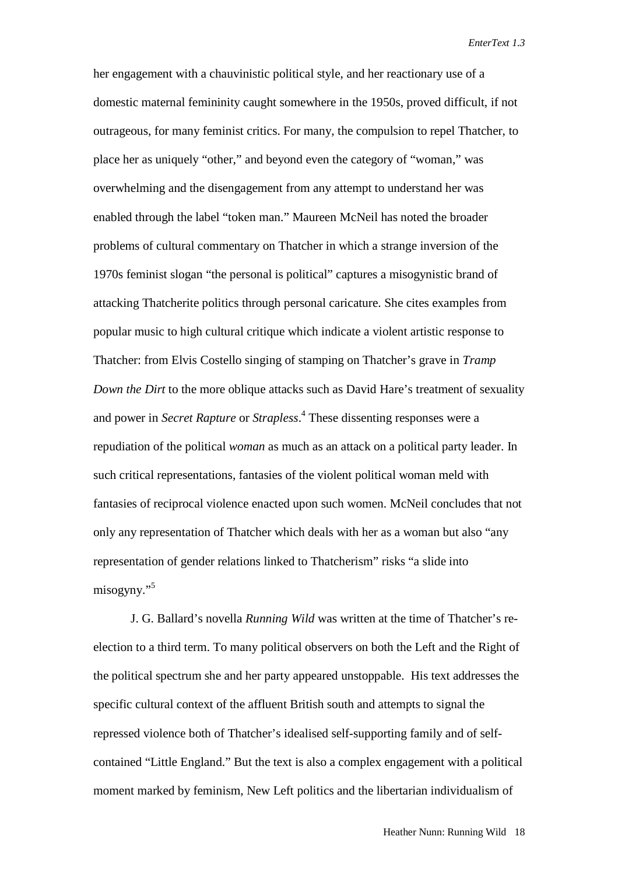her engagement with a chauvinistic political style, and her reactionary use of a domestic maternal femininity caught somewhere in the 1950s, proved difficult, if not outrageous, for many feminist critics. For many, the compulsion to repel Thatcher, to place her as uniquely "other," and beyond even the category of "woman," was overwhelming and the disengagement from any attempt to understand her was enabled through the label "token man." Maureen McNeil has noted the broader problems of cultural commentary on Thatcher in which a strange inversion of the 1970s feminist slogan "the personal is political" captures a misogynistic brand of attacking Thatcherite politics through personal caricature. She cites examples from popular music to high cultural critique which indicate a violent artistic response to Thatcher: from Elvis Costello singing of stamping on Thatcher's grave in *Tramp Down the Dirt* to the more oblique attacks such as David Hare's treatment of sexuality and power in *Secret Rapture* or *Strapless*. 4 These dissenting responses were a repudiation of the political *woman* as much as an attack on a political party leader. In such critical representations, fantasies of the violent political woman meld with fantasies of reciprocal violence enacted upon such women. McNeil concludes that not only any representation of Thatcher which deals with her as a woman but also "any representation of gender relations linked to Thatcherism" risks "a slide into misogyny."<sup>5</sup>

J. G. Ballard's novella *Running Wild* was written at the time of Thatcher's reelection to a third term. To many political observers on both the Left and the Right of the political spectrum she and her party appeared unstoppable. His text addresses the specific cultural context of the affluent British south and attempts to signal the repressed violence both of Thatcher's idealised self-supporting family and of selfcontained "Little England." But the text is also a complex engagement with a political moment marked by feminism, New Left politics and the libertarian individualism of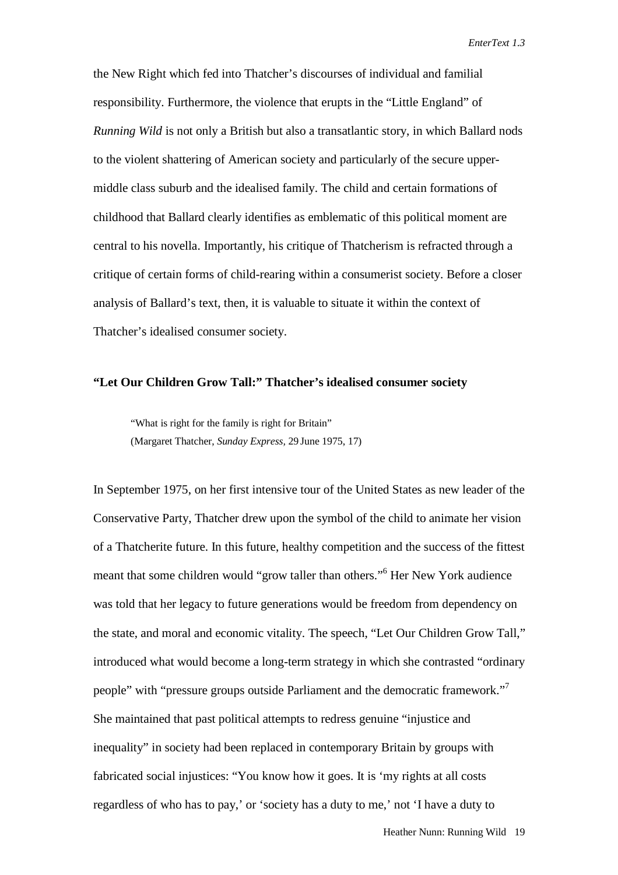the New Right which fed into Thatcher's discourses of individual and familial responsibility. Furthermore, the violence that erupts in the "Little England" of *Running Wild* is not only a British but also a transatlantic story, in which Ballard nods to the violent shattering of American society and particularly of the secure uppermiddle class suburb and the idealised family. The child and certain formations of childhood that Ballard clearly identifies as emblematic of this political moment are central to his novella. Importantly, his critique of Thatcherism is refracted through a critique of certain forms of child-rearing within a consumerist society. Before a closer analysis of Ballard's text, then, it is valuable to situate it within the context of Thatcher's idealised consumer society.

#### **"Let Our Children Grow Tall:" Thatcher's idealised consumer society**

"What is right for the family is right for Britain" (Margaret Thatcher, *Sunday Express,* 29 June 1975, 17)

In September 1975, on her first intensive tour of the United States as new leader of the Conservative Party, Thatcher drew upon the symbol of the child to animate her vision of a Thatcherite future. In this future, healthy competition and the success of the fittest meant that some children would "grow taller than others."6 Her New York audience was told that her legacy to future generations would be freedom from dependency on the state, and moral and economic vitality. The speech, "Let Our Children Grow Tall," introduced what would become a long-term strategy in which she contrasted "ordinary people" with "pressure groups outside Parliament and the democratic framework."<sup>7</sup> She maintained that past political attempts to redress genuine "injustice and inequality" in society had been replaced in contemporary Britain by groups with fabricated social injustices: "You know how it goes. It is 'my rights at all costs regardless of who has to pay,' or 'society has a duty to me,' not 'I have a duty to

Heather Nunn: Running Wild 19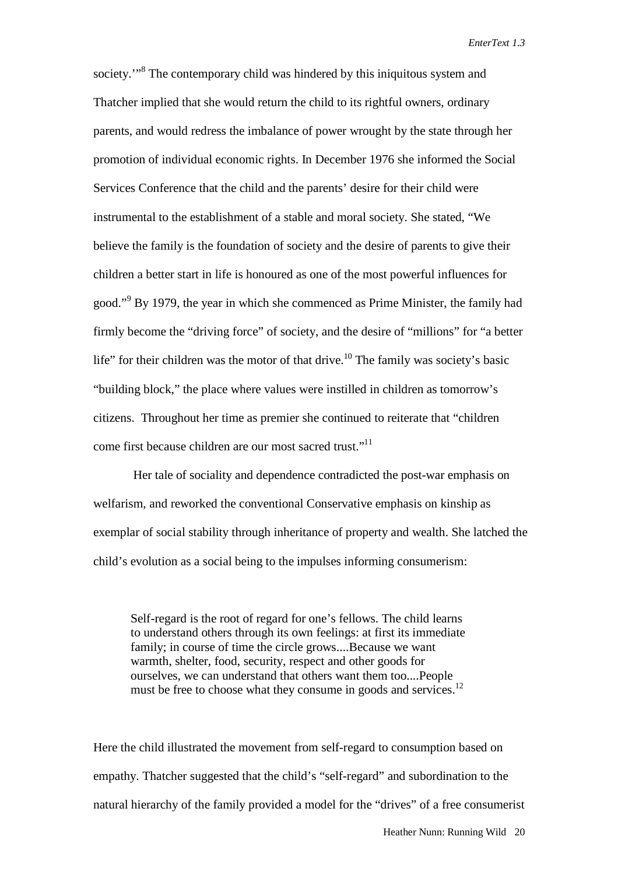society.<sup>"8</sup> The contemporary child was hindered by this iniquitous system and Thatcher implied that she would return the child to its rightful owners, ordinary parents, and would redress the imbalance of power wrought by the state through her promotion of individual economic rights. In December 1976 she informed the Social Services Conference that the child and the parents' desire for their child were instrumental to the establishment of a stable and moral society. She stated, "We believe the family is the foundation of society and the desire of parents to give their children a better start in life is honoured as one of the most powerful influences for good."<sup>9</sup> By 1979, the year in which she commenced as Prime Minister, the family had firmly become the "driving force" of society, and the desire of "millions" for "a better life" for their children was the motor of that drive.<sup>10</sup> The family was society's basic "building block," the place where values were instilled in children as tomorrow's citizens. Throughout her time as premier she continued to reiterate that "children come first because children are our most sacred trust."<sup>11</sup>

 Her tale of sociality and dependence contradicted the post-war emphasis on welfarism, and reworked the conventional Conservative emphasis on kinship as exemplar of social stability through inheritance of property and wealth. She latched the child's evolution as a social being to the impulses informing consumerism:

Self-regard is the root of regard for one's fellows. The child learns to understand others through its own feelings: at first its immediate family; in course of time the circle grows....Because we want warmth, shelter, food, security, respect and other goods for ourselves, we can understand that others want them too....People must be free to choose what they consume in goods and services.<sup>12</sup>

Here the child illustrated the movement from self-regard to consumption based on empathy. Thatcher suggested that the child's "self-regard" and subordination to the natural hierarchy of the family provided a model for the "drives" of a free consumerist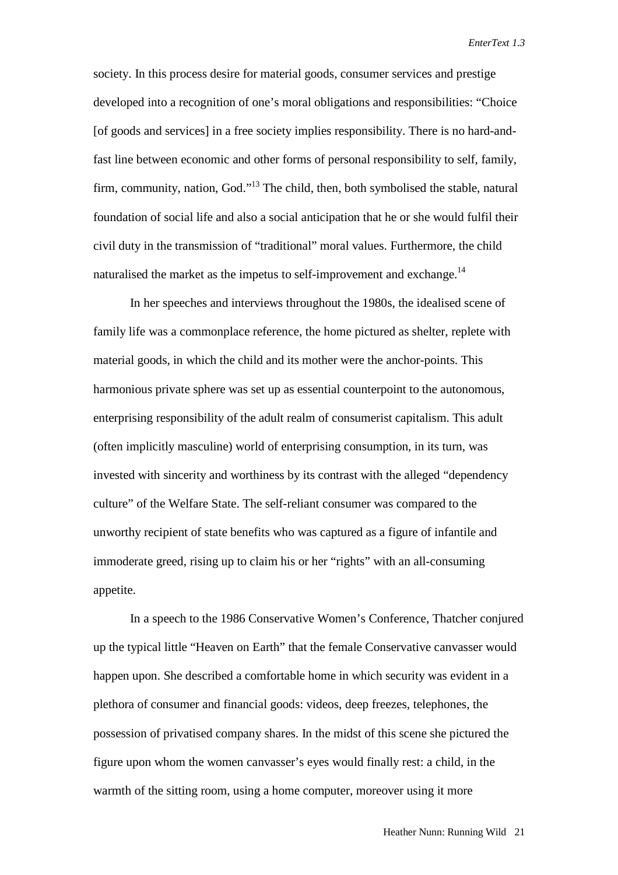society. In this process desire for material goods, consumer services and prestige developed into a recognition of one's moral obligations and responsibilities: "Choice [of goods and services] in a free society implies responsibility. There is no hard-andfast line between economic and other forms of personal responsibility to self, family, firm, community, nation, God."<sup>13</sup> The child, then, both symbolised the stable, natural foundation of social life and also a social anticipation that he or she would fulfil their civil duty in the transmission of "traditional" moral values. Furthermore, the child naturalised the market as the impetus to self-improvement and exchange.<sup>14</sup>

In her speeches and interviews throughout the 1980s, the idealised scene of family life was a commonplace reference, the home pictured as shelter, replete with material goods, in which the child and its mother were the anchor-points. This harmonious private sphere was set up as essential counterpoint to the autonomous, enterprising responsibility of the adult realm of consumerist capitalism. This adult (often implicitly masculine) world of enterprising consumption, in its turn, was invested with sincerity and worthiness by its contrast with the alleged "dependency culture" of the Welfare State. The self-reliant consumer was compared to the unworthy recipient of state benefits who was captured as a figure of infantile and immoderate greed, rising up to claim his or her "rights" with an all-consuming appetite.

In a speech to the 1986 Conservative Women's Conference, Thatcher conjured up the typical little "Heaven on Earth" that the female Conservative canvasser would happen upon. She described a comfortable home in which security was evident in a plethora of consumer and financial goods: videos, deep freezes, telephones, the possession of privatised company shares. In the midst of this scene she pictured the figure upon whom the women canvasser's eyes would finally rest: a child, in the warmth of the sitting room, using a home computer, moreover using it more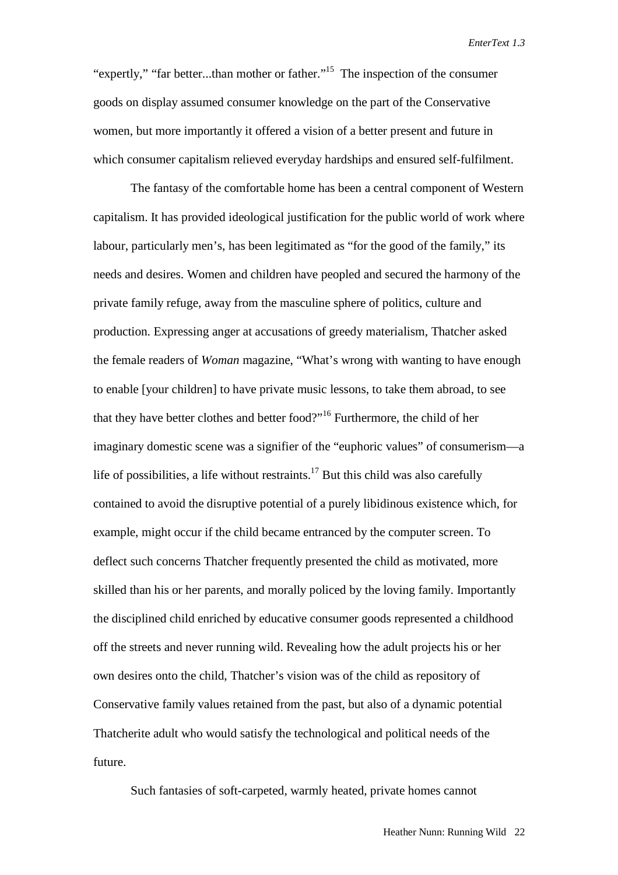"expertly," "far better...than mother or father."15 The inspection of the consumer goods on display assumed consumer knowledge on the part of the Conservative women, but more importantly it offered a vision of a better present and future in which consumer capitalism relieved everyday hardships and ensured self-fulfilment.

The fantasy of the comfortable home has been a central component of Western capitalism. It has provided ideological justification for the public world of work where labour, particularly men's, has been legitimated as "for the good of the family," its needs and desires. Women and children have peopled and secured the harmony of the private family refuge, away from the masculine sphere of politics, culture and production. Expressing anger at accusations of greedy materialism, Thatcher asked the female readers of *Woman* magazine, "What's wrong with wanting to have enough to enable [your children] to have private music lessons, to take them abroad, to see that they have better clothes and better food?"<sup>16</sup> Furthermore, the child of her imaginary domestic scene was a signifier of the "euphoric values" of consumerism—a life of possibilities, a life without restraints.<sup>17</sup> But this child was also carefully contained to avoid the disruptive potential of a purely libidinous existence which, for example, might occur if the child became entranced by the computer screen. To deflect such concerns Thatcher frequently presented the child as motivated, more skilled than his or her parents, and morally policed by the loving family. Importantly the disciplined child enriched by educative consumer goods represented a childhood off the streets and never running wild. Revealing how the adult projects his or her own desires onto the child, Thatcher's vision was of the child as repository of Conservative family values retained from the past, but also of a dynamic potential Thatcherite adult who would satisfy the technological and political needs of the future.

Such fantasies of soft-carpeted, warmly heated, private homes cannot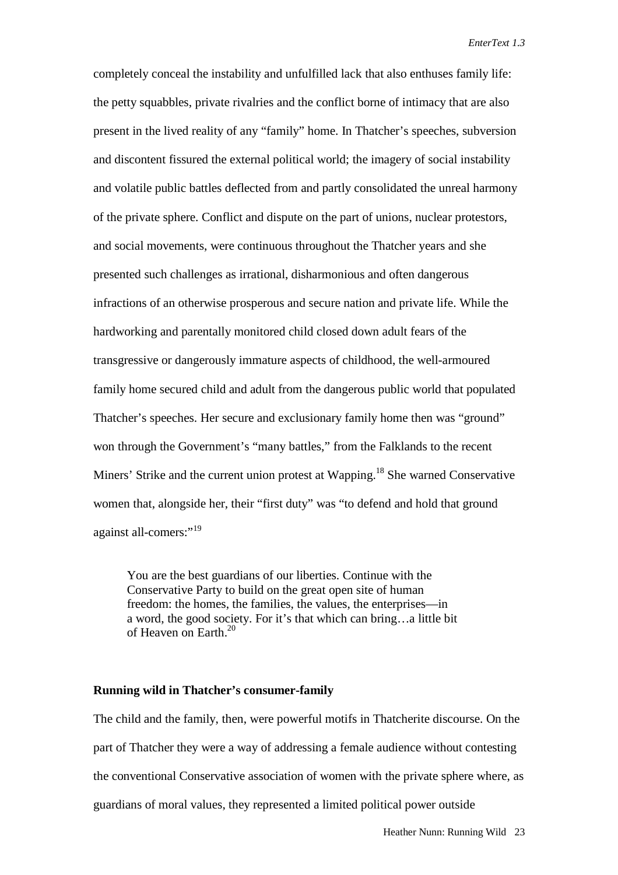completely conceal the instability and unfulfilled lack that also enthuses family life: the petty squabbles, private rivalries and the conflict borne of intimacy that are also present in the lived reality of any "family" home. In Thatcher's speeches, subversion and discontent fissured the external political world; the imagery of social instability and volatile public battles deflected from and partly consolidated the unreal harmony of the private sphere. Conflict and dispute on the part of unions, nuclear protestors, and social movements, were continuous throughout the Thatcher years and she presented such challenges as irrational, disharmonious and often dangerous infractions of an otherwise prosperous and secure nation and private life. While the hardworking and parentally monitored child closed down adult fears of the transgressive or dangerously immature aspects of childhood, the well-armoured family home secured child and adult from the dangerous public world that populated Thatcher's speeches. Her secure and exclusionary family home then was "ground" won through the Government's "many battles," from the Falklands to the recent Miners' Strike and the current union protest at Wapping.<sup>18</sup> She warned Conservative women that, alongside her, their "first duty" was "to defend and hold that ground against all-comers:"<sup>19</sup>

You are the best guardians of our liberties. Continue with the Conservative Party to build on the great open site of human freedom: the homes, the families, the values, the enterprises—in a word, the good society. For it's that which can bring…a little bit of Heaven on Earth.<sup>20</sup>

#### **Running wild in Thatcher's consumer-family**

The child and the family, then, were powerful motifs in Thatcherite discourse. On the part of Thatcher they were a way of addressing a female audience without contesting the conventional Conservative association of women with the private sphere where, as guardians of moral values, they represented a limited political power outside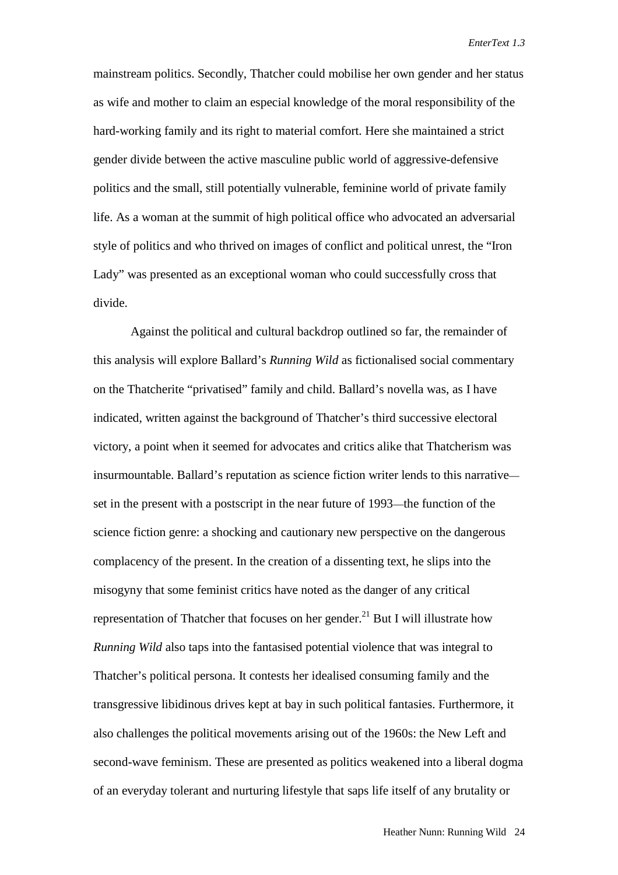mainstream politics. Secondly, Thatcher could mobilise her own gender and her status as wife and mother to claim an especial knowledge of the moral responsibility of the hard-working family and its right to material comfort. Here she maintained a strict gender divide between the active masculine public world of aggressive-defensive politics and the small, still potentially vulnerable, feminine world of private family life. As a woman at the summit of high political office who advocated an adversarial style of politics and who thrived on images of conflict and political unrest, the "Iron Lady" was presented as an exceptional woman who could successfully cross that divide.

Against the political and cultural backdrop outlined so far, the remainder of this analysis will explore Ballard's *Running Wild* as fictionalised social commentary on the Thatcherite "privatised" family and child. Ballard's novella was, as I have indicated, written against the background of Thatcher's third successive electoral victory, a point when it seemed for advocates and critics alike that Thatcherism was insurmountable. Ballard's reputation as science fiction writer lends to this narrative set in the present with a postscript in the near future of 1993—the function of the science fiction genre: a shocking and cautionary new perspective on the dangerous complacency of the present. In the creation of a dissenting text, he slips into the misogyny that some feminist critics have noted as the danger of any critical representation of Thatcher that focuses on her gender.<sup>21</sup> But I will illustrate how *Running Wild* also taps into the fantasised potential violence that was integral to Thatcher's political persona. It contests her idealised consuming family and the transgressive libidinous drives kept at bay in such political fantasies. Furthermore, it also challenges the political movements arising out of the 1960s: the New Left and second-wave feminism. These are presented as politics weakened into a liberal dogma of an everyday tolerant and nurturing lifestyle that saps life itself of any brutality or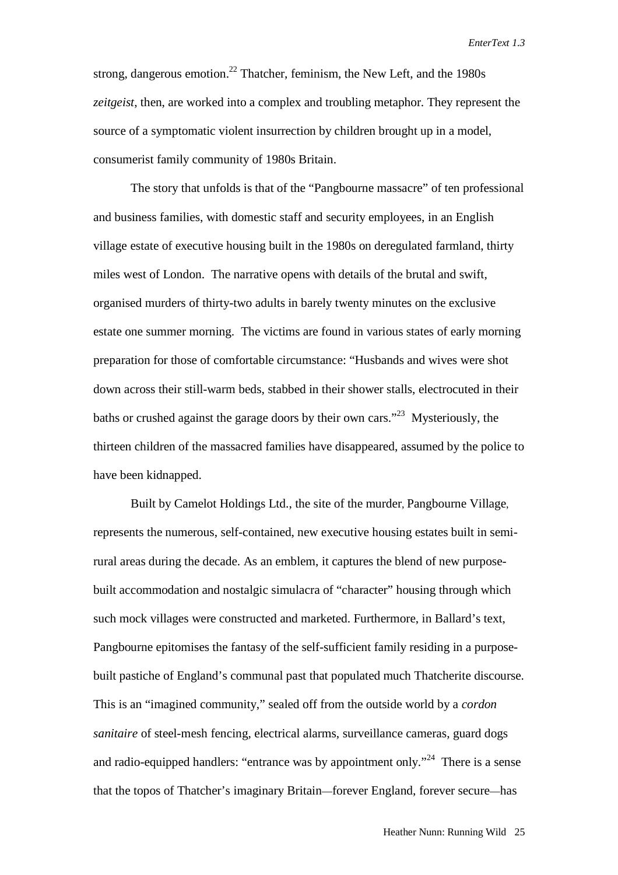strong, dangerous emotion.<sup>22</sup> Thatcher, feminism, the New Left, and the 1980s *zeitgeist*, then, are worked into a complex and troubling metaphor. They represent the source of a symptomatic violent insurrection by children brought up in a model, consumerist family community of 1980s Britain.

The story that unfolds is that of the "Pangbourne massacre" of ten professional and business families, with domestic staff and security employees, in an English village estate of executive housing built in the 1980s on deregulated farmland, thirty miles west of London. The narrative opens with details of the brutal and swift, organised murders of thirty-two adults in barely twenty minutes on the exclusive estate one summer morning. The victims are found in various states of early morning preparation for those of comfortable circumstance: "Husbands and wives were shot down across their still-warm beds, stabbed in their shower stalls, electrocuted in their baths or crushed against the garage doors by their own cars.<sup> $32$ </sup> Mysteriously, the thirteen children of the massacred families have disappeared, assumed by the police to have been kidnapped.

Built by Camelot Holdings Ltd., the site of the murder, Pangbourne Village, represents the numerous, self-contained, new executive housing estates built in semirural areas during the decade. As an emblem, it captures the blend of new purposebuilt accommodation and nostalgic simulacra of "character" housing through which such mock villages were constructed and marketed. Furthermore, in Ballard's text, Pangbourne epitomises the fantasy of the self-sufficient family residing in a purposebuilt pastiche of England's communal past that populated much Thatcherite discourse. This is an "imagined community," sealed off from the outside world by a *cordon sanitaire* of steel-mesh fencing, electrical alarms, surveillance cameras, guard dogs and radio-equipped handlers: "entrance was by appointment only."<sup>24</sup> There is a sense that the topos of Thatcher's imaginary Britain—forever England, forever secure—has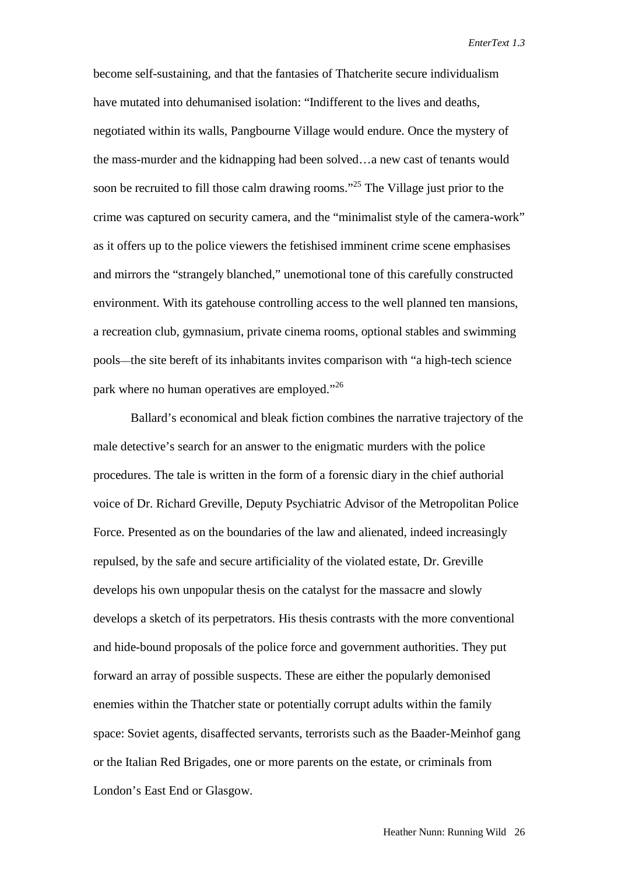become self-sustaining, and that the fantasies of Thatcherite secure individualism have mutated into dehumanised isolation: "Indifferent to the lives and deaths, negotiated within its walls, Pangbourne Village would endure. Once the mystery of the mass-murder and the kidnapping had been solved…a new cast of tenants would soon be recruited to fill those calm drawing rooms."<sup>25</sup> The Village just prior to the crime was captured on security camera, and the "minimalist style of the camera-work" as it offers up to the police viewers the fetishised imminent crime scene emphasises and mirrors the "strangely blanched," unemotional tone of this carefully constructed environment. With its gatehouse controlling access to the well planned ten mansions, a recreation club, gymnasium, private cinema rooms, optional stables and swimming pools—the site bereft of its inhabitants invites comparison with "a high-tech science park where no human operatives are employed."<sup>26</sup>

Ballard's economical and bleak fiction combines the narrative trajectory of the male detective's search for an answer to the enigmatic murders with the police procedures. The tale is written in the form of a forensic diary in the chief authorial voice of Dr. Richard Greville, Deputy Psychiatric Advisor of the Metropolitan Police Force. Presented as on the boundaries of the law and alienated, indeed increasingly repulsed, by the safe and secure artificiality of the violated estate, Dr. Greville develops his own unpopular thesis on the catalyst for the massacre and slowly develops a sketch of its perpetrators. His thesis contrasts with the more conventional and hide-bound proposals of the police force and government authorities. They put forward an array of possible suspects. These are either the popularly demonised enemies within the Thatcher state or potentially corrupt adults within the family space: Soviet agents, disaffected servants, terrorists such as the Baader-Meinhof gang or the Italian Red Brigades, one or more parents on the estate, or criminals from London's East End or Glasgow.

Heather Nunn: Running Wild 26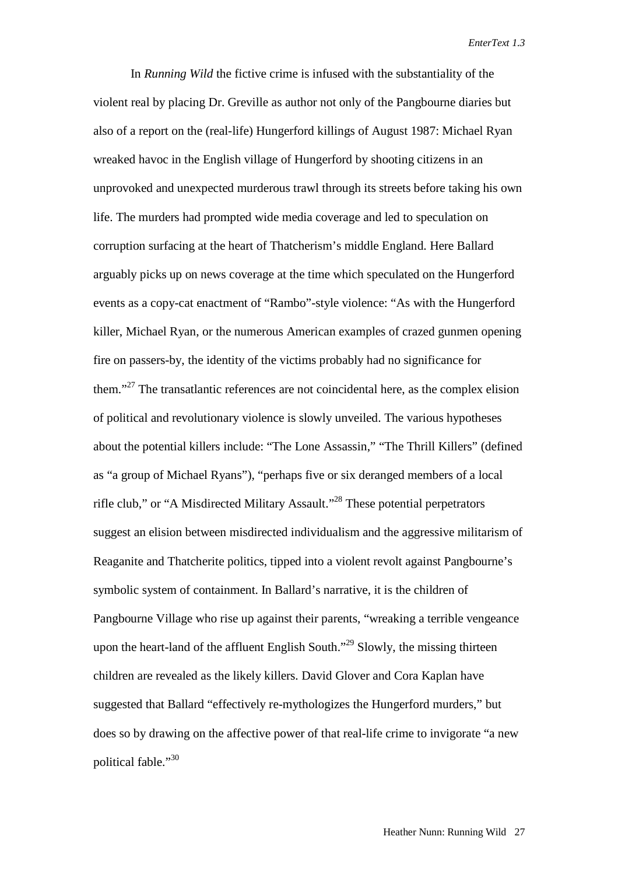In *Running Wild* the fictive crime is infused with the substantiality of the violent real by placing Dr. Greville as author not only of the Pangbourne diaries but also of a report on the (real-life) Hungerford killings of August 1987: Michael Ryan wreaked havoc in the English village of Hungerford by shooting citizens in an unprovoked and unexpected murderous trawl through its streets before taking his own life. The murders had prompted wide media coverage and led to speculation on corruption surfacing at the heart of Thatcherism's middle England. Here Ballard arguably picks up on news coverage at the time which speculated on the Hungerford events as a copy-cat enactment of "Rambo"-style violence: "As with the Hungerford killer, Michael Ryan, or the numerous American examples of crazed gunmen opening fire on passers-by, the identity of the victims probably had no significance for them."27 The transatlantic references are not coincidental here, as the complex elision of political and revolutionary violence is slowly unveiled. The various hypotheses about the potential killers include: "The Lone Assassin," "The Thrill Killers" (defined as "a group of Michael Ryans"), "perhaps five or six deranged members of a local rifle club," or "A Misdirected Military Assault."28 These potential perpetrators suggest an elision between misdirected individualism and the aggressive militarism of Reaganite and Thatcherite politics, tipped into a violent revolt against Pangbourne's symbolic system of containment. In Ballard's narrative, it is the children of Pangbourne Village who rise up against their parents, "wreaking a terrible vengeance upon the heart-land of the affluent English South."<sup>29</sup> Slowly, the missing thirteen children are revealed as the likely killers. David Glover and Cora Kaplan have suggested that Ballard "effectively re-mythologizes the Hungerford murders," but does so by drawing on the affective power of that real-life crime to invigorate "a new political fable."<sup>30</sup>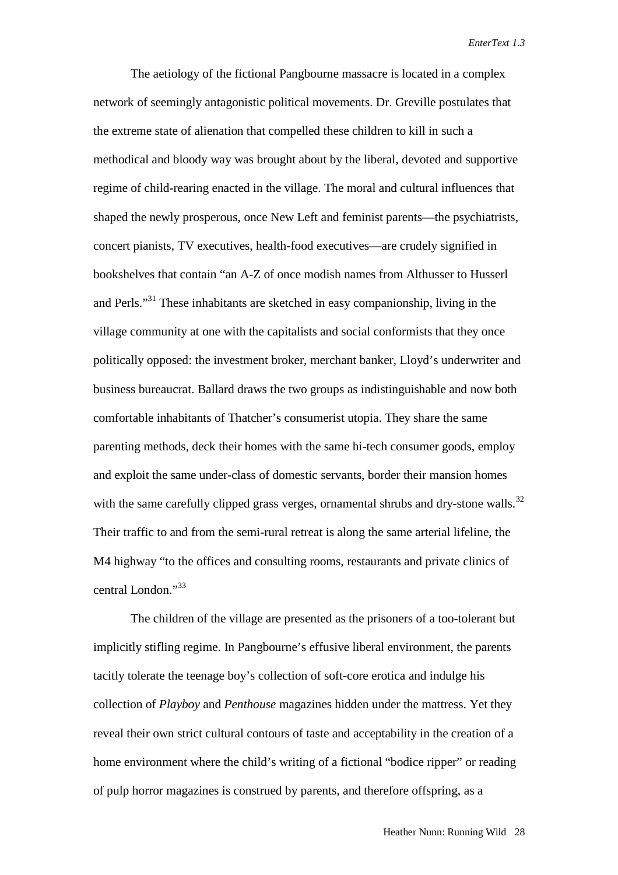The aetiology of the fictional Pangbourne massacre is located in a complex network of seemingly antagonistic political movements. Dr. Greville postulates that the extreme state of alienation that compelled these children to kill in such a methodical and bloody way was brought about by the liberal, devoted and supportive regime of child-rearing enacted in the village. The moral and cultural influences that shaped the newly prosperous, once New Left and feminist parents—the psychiatrists, concert pianists, TV executives, health-food executives—are crudely signified in bookshelves that contain "an A-Z of once modish names from Althusser to Husserl and Perls."<sup>31</sup> These inhabitants are sketched in easy companionship, living in the village community at one with the capitalists and social conformists that they once politically opposed: the investment broker, merchant banker, Lloyd's underwriter and business bureaucrat. Ballard draws the two groups as indistinguishable and now both comfortable inhabitants of Thatcher's consumerist utopia. They share the same parenting methods, deck their homes with the same hi-tech consumer goods, employ and exploit the same under-class of domestic servants, border their mansion homes with the same carefully clipped grass verges, ornamental shrubs and dry-stone walls.<sup>32</sup> Their traffic to and from the semi-rural retreat is along the same arterial lifeline, the M4 highway "to the offices and consulting rooms, restaurants and private clinics of central London."<sup>33</sup>

The children of the village are presented as the prisoners of a too-tolerant but implicitly stifling regime. In Pangbourne's effusive liberal environment, the parents tacitly tolerate the teenage boy's collection of soft-core erotica and indulge his collection of *Playboy* and *Penthouse* magazines hidden under the mattress. Yet they reveal their own strict cultural contours of taste and acceptability in the creation of a home environment where the child's writing of a fictional "bodice ripper" or reading of pulp horror magazines is construed by parents, and therefore offspring, as a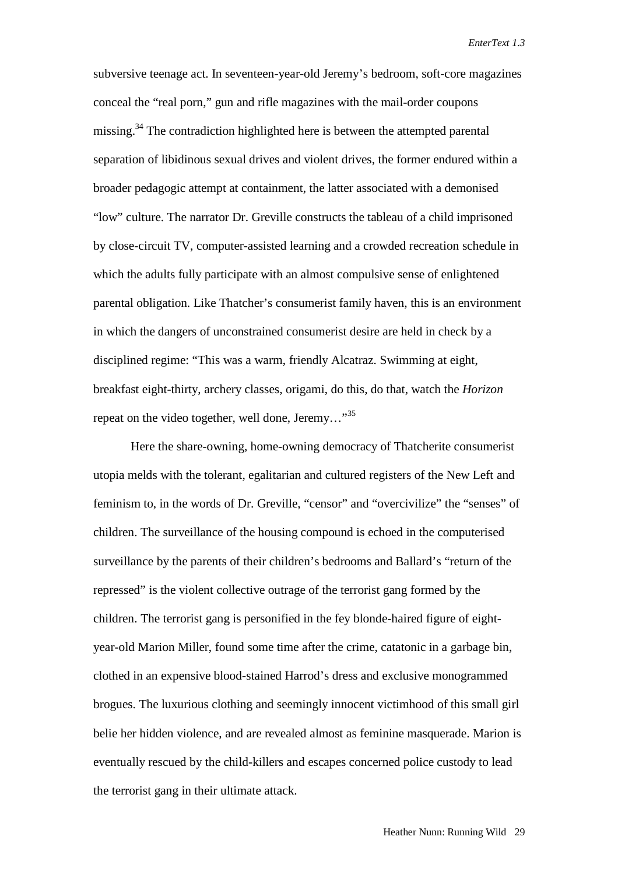subversive teenage act. In seventeen-year-old Jeremy's bedroom, soft-core magazines conceal the "real porn," gun and rifle magazines with the mail-order coupons missing.<sup>34</sup> The contradiction highlighted here is between the attempted parental separation of libidinous sexual drives and violent drives, the former endured within a broader pedagogic attempt at containment, the latter associated with a demonised "low" culture. The narrator Dr. Greville constructs the tableau of a child imprisoned by close-circuit TV, computer-assisted learning and a crowded recreation schedule in which the adults fully participate with an almost compulsive sense of enlightened parental obligation. Like Thatcher's consumerist family haven, this is an environment in which the dangers of unconstrained consumerist desire are held in check by a disciplined regime: "This was a warm, friendly Alcatraz. Swimming at eight, breakfast eight-thirty, archery classes, origami, do this, do that, watch the *Horizon* repeat on the video together, well done, Jeremy..."<sup>35</sup>

Here the share-owning, home-owning democracy of Thatcherite consumerist utopia melds with the tolerant, egalitarian and cultured registers of the New Left and feminism to, in the words of Dr. Greville, "censor" and "overcivilize" the "senses" of children. The surveillance of the housing compound is echoed in the computerised surveillance by the parents of their children's bedrooms and Ballard's "return of the repressed" is the violent collective outrage of the terrorist gang formed by the children. The terrorist gang is personified in the fey blonde-haired figure of eightyear-old Marion Miller, found some time after the crime, catatonic in a garbage bin, clothed in an expensive blood-stained Harrod's dress and exclusive monogrammed brogues. The luxurious clothing and seemingly innocent victimhood of this small girl belie her hidden violence, and are revealed almost as feminine masquerade. Marion is eventually rescued by the child-killers and escapes concerned police custody to lead the terrorist gang in their ultimate attack.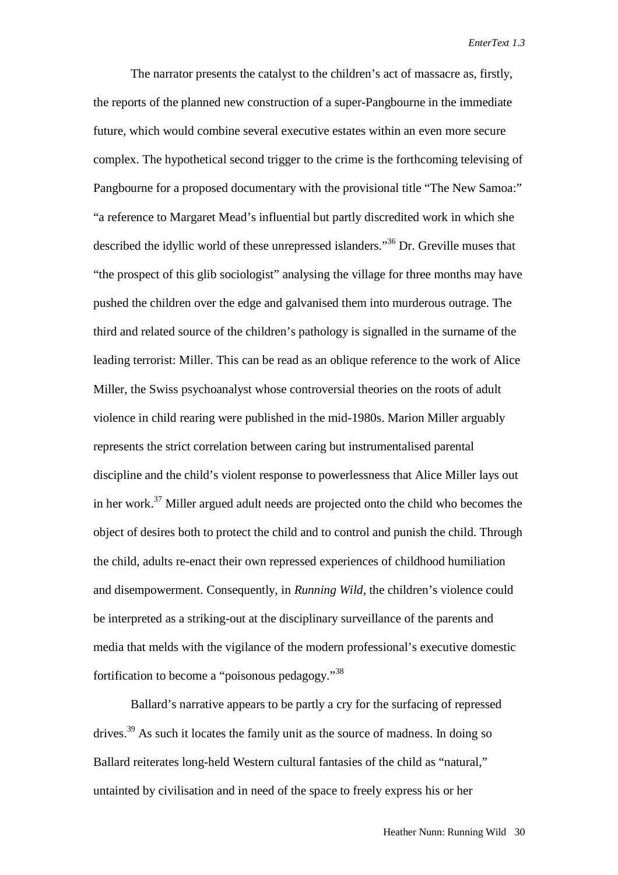The narrator presents the catalyst to the children's act of massacre as, firstly, the reports of the planned new construction of a super-Pangbourne in the immediate future, which would combine several executive estates within an even more secure complex. The hypothetical second trigger to the crime is the forthcoming televising of Pangbourne for a proposed documentary with the provisional title "The New Samoa:" "a reference to Margaret Mead's influential but partly discredited work in which she described the idyllic world of these unrepressed islanders."36 Dr. Greville muses that "the prospect of this glib sociologist" analysing the village for three months may have pushed the children over the edge and galvanised them into murderous outrage. The third and related source of the children's pathology is signalled in the surname of the leading terrorist: Miller. This can be read as an oblique reference to the work of Alice Miller, the Swiss psychoanalyst whose controversial theories on the roots of adult violence in child rearing were published in the mid-1980s. Marion Miller arguably represents the strict correlation between caring but instrumentalised parental discipline and the child's violent response to powerlessness that Alice Miller lays out in her work.37 Miller argued adult needs are projected onto the child who becomes the object of desires both to protect the child and to control and punish the child. Through the child, adults re-enact their own repressed experiences of childhood humiliation and disempowerment. Consequently, in *Running Wild*, the children's violence could be interpreted as a striking-out at the disciplinary surveillance of the parents and media that melds with the vigilance of the modern professional's executive domestic fortification to become a "poisonous pedagogy."<sup>38</sup>

Ballard's narrative appears to be partly a cry for the surfacing of repressed drives.<sup>39</sup> As such it locates the family unit as the source of madness. In doing so Ballard reiterates long-held Western cultural fantasies of the child as "natural," untainted by civilisation and in need of the space to freely express his or her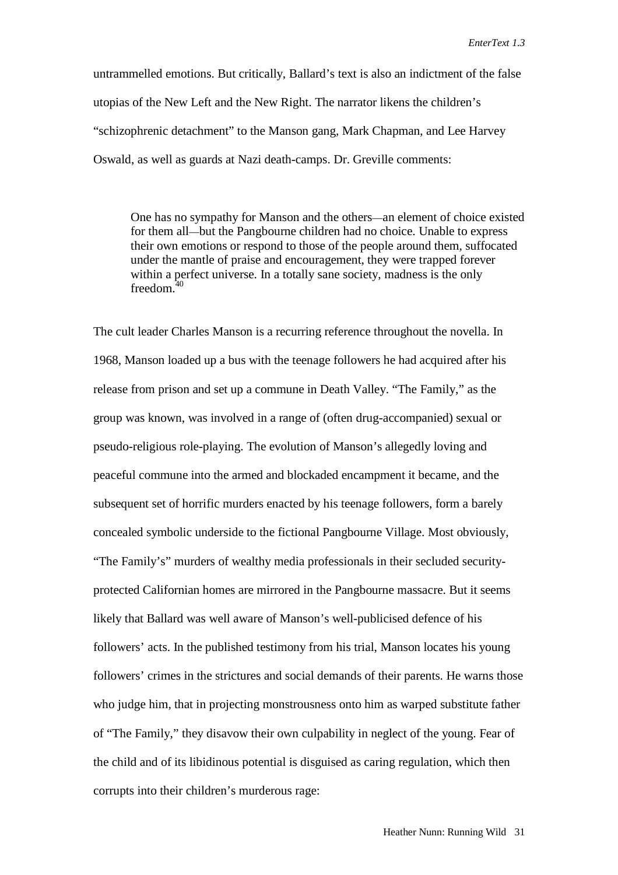untrammelled emotions. But critically, Ballard's text is also an indictment of the false utopias of the New Left and the New Right. The narrator likens the children's "schizophrenic detachment" to the Manson gang, Mark Chapman, and Lee Harvey Oswald, as well as guards at Nazi death-camps. Dr. Greville comments:

One has no sympathy for Manson and the others—an element of choice existed for them all—but the Pangbourne children had no choice. Unable to express their own emotions or respond to those of the people around them, suffocated under the mantle of praise and encouragement, they were trapped forever within a perfect universe. In a totally sane society, madness is the only freedom. $40$ 

The cult leader Charles Manson is a recurring reference throughout the novella. In 1968, Manson loaded up a bus with the teenage followers he had acquired after his release from prison and set up a commune in Death Valley. "The Family," as the group was known, was involved in a range of (often drug-accompanied) sexual or pseudo-religious role-playing. The evolution of Manson's allegedly loving and peaceful commune into the armed and blockaded encampment it became, and the subsequent set of horrific murders enacted by his teenage followers, form a barely concealed symbolic underside to the fictional Pangbourne Village. Most obviously, "The Family's" murders of wealthy media professionals in their secluded securityprotected Californian homes are mirrored in the Pangbourne massacre. But it seems likely that Ballard was well aware of Manson's well-publicised defence of his followers' acts. In the published testimony from his trial, Manson locates his young followers' crimes in the strictures and social demands of their parents. He warns those who judge him, that in projecting monstrousness onto him as warped substitute father of "The Family," they disavow their own culpability in neglect of the young. Fear of the child and of its libidinous potential is disguised as caring regulation, which then corrupts into their children's murderous rage: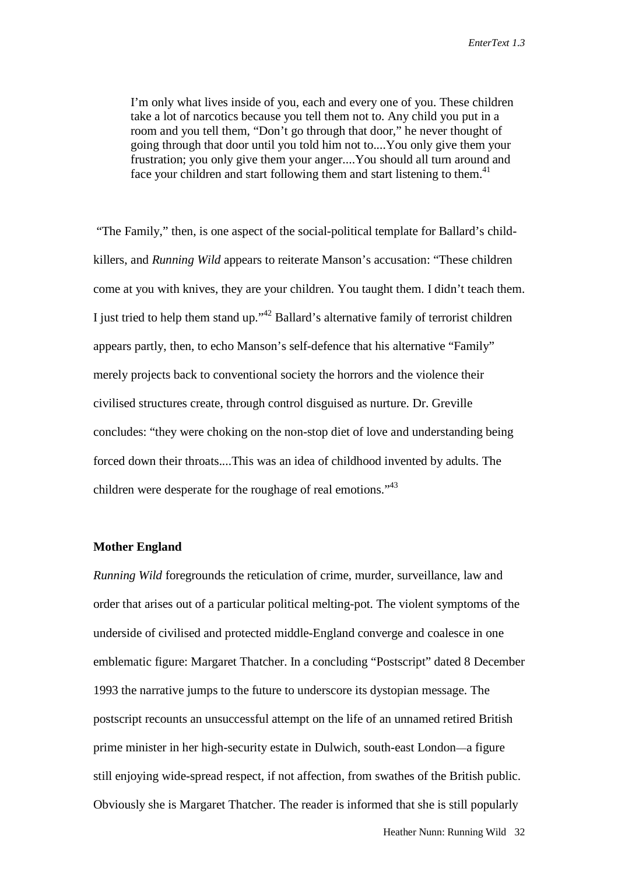I'm only what lives inside of you, each and every one of you. These children take a lot of narcotics because you tell them not to. Any child you put in a room and you tell them, "Don't go through that door," he never thought of going through that door until you told him not to....You only give them your frustration; you only give them your anger....You should all turn around and face your children and start following them and start listening to them.<sup>41</sup>

 "The Family," then, is one aspect of the social-political template for Ballard's childkillers, and *Running Wild* appears to reiterate Manson's accusation: "These children come at you with knives, they are your children. You taught them. I didn't teach them. I just tried to help them stand up."42 Ballard's alternative family of terrorist children appears partly, then, to echo Manson's self-defence that his alternative "Family" merely projects back to conventional society the horrors and the violence their civilised structures create, through control disguised as nurture. Dr. Greville concludes: "they were choking on the non-stop diet of love and understanding being forced down their throats....This was an idea of childhood invented by adults. The children were desperate for the roughage of real emotions."<sup>43</sup>

#### **Mother England**

*Running Wild* foregrounds the reticulation of crime, murder, surveillance, law and order that arises out of a particular political melting-pot. The violent symptoms of the underside of civilised and protected middle-England converge and coalesce in one emblematic figure: Margaret Thatcher. In a concluding "Postscript" dated 8 December 1993 the narrative jumps to the future to underscore its dystopian message. The postscript recounts an unsuccessful attempt on the life of an unnamed retired British prime minister in her high-security estate in Dulwich, south-east London—a figure still enjoying wide-spread respect, if not affection, from swathes of the British public. Obviously she is Margaret Thatcher. The reader is informed that she is still popularly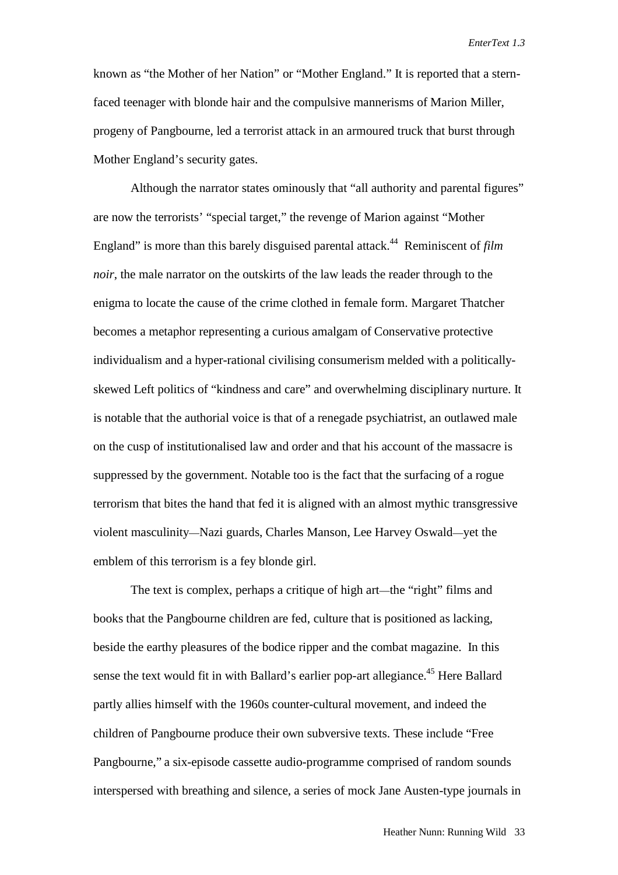known as "the Mother of her Nation" or "Mother England." It is reported that a sternfaced teenager with blonde hair and the compulsive mannerisms of Marion Miller, progeny of Pangbourne, led a terrorist attack in an armoured truck that burst through Mother England's security gates.

Although the narrator states ominously that "all authority and parental figures" are now the terrorists' "special target," the revenge of Marion against "Mother England" is more than this barely disguised parental attack.44 Reminiscent of *film noir*, the male narrator on the outskirts of the law leads the reader through to the enigma to locate the cause of the crime clothed in female form. Margaret Thatcher becomes a metaphor representing a curious amalgam of Conservative protective individualism and a hyper-rational civilising consumerism melded with a politicallyskewed Left politics of "kindness and care" and overwhelming disciplinary nurture. It is notable that the authorial voice is that of a renegade psychiatrist, an outlawed male on the cusp of institutionalised law and order and that his account of the massacre is suppressed by the government. Notable too is the fact that the surfacing of a rogue terrorism that bites the hand that fed it is aligned with an almost mythic transgressive violent masculinity—Nazi guards, Charles Manson, Lee Harvey Oswald—yet the emblem of this terrorism is a fey blonde girl.

The text is complex, perhaps a critique of high art—the "right" films and books that the Pangbourne children are fed, culture that is positioned as lacking, beside the earthy pleasures of the bodice ripper and the combat magazine. In this sense the text would fit in with Ballard's earlier pop-art allegiance.<sup>45</sup> Here Ballard partly allies himself with the 1960s counter-cultural movement, and indeed the children of Pangbourne produce their own subversive texts. These include "Free Pangbourne," a six-episode cassette audio-programme comprised of random sounds interspersed with breathing and silence, a series of mock Jane Austen-type journals in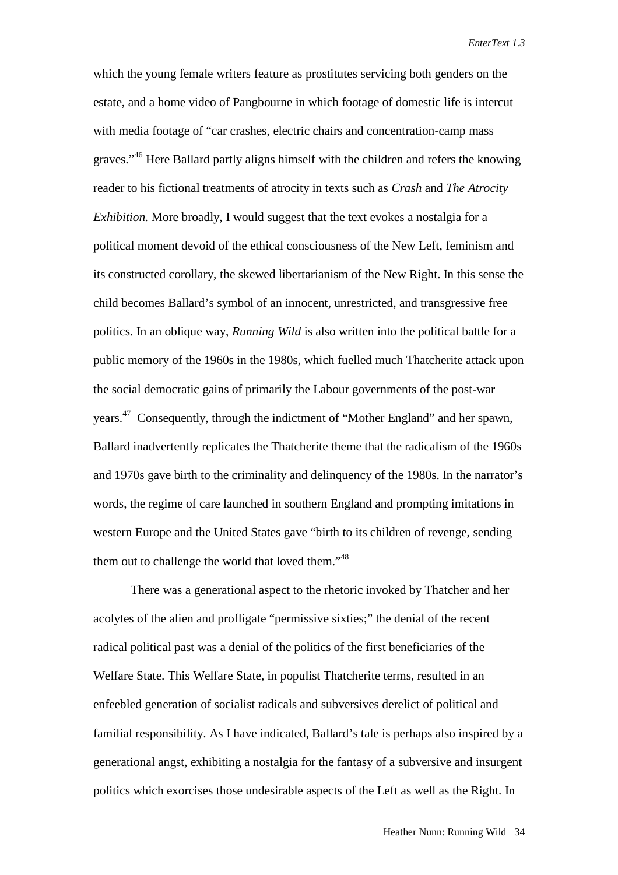which the young female writers feature as prostitutes servicing both genders on the estate, and a home video of Pangbourne in which footage of domestic life is intercut with media footage of "car crashes, electric chairs and concentration-camp mass graves."<sup>46</sup> Here Ballard partly aligns himself with the children and refers the knowing reader to his fictional treatments of atrocity in texts such as *Crash* and *The Atrocity Exhibition.* More broadly, I would suggest that the text evokes a nostalgia for a political moment devoid of the ethical consciousness of the New Left, feminism and its constructed corollary, the skewed libertarianism of the New Right. In this sense the child becomes Ballard's symbol of an innocent, unrestricted, and transgressive free politics. In an oblique way, *Running Wild* is also written into the political battle for a public memory of the 1960s in the 1980s, which fuelled much Thatcherite attack upon the social democratic gains of primarily the Labour governments of the post-war years.47 Consequently, through the indictment of "Mother England" and her spawn, Ballard inadvertently replicates the Thatcherite theme that the radicalism of the 1960s and 1970s gave birth to the criminality and delinquency of the 1980s. In the narrator's words, the regime of care launched in southern England and prompting imitations in western Europe and the United States gave "birth to its children of revenge, sending them out to challenge the world that loved them."<sup>48</sup>

There was a generational aspect to the rhetoric invoked by Thatcher and her acolytes of the alien and profligate "permissive sixties;" the denial of the recent radical political past was a denial of the politics of the first beneficiaries of the Welfare State. This Welfare State, in populist Thatcherite terms, resulted in an enfeebled generation of socialist radicals and subversives derelict of political and familial responsibility. As I have indicated, Ballard's tale is perhaps also inspired by a generational angst, exhibiting a nostalgia for the fantasy of a subversive and insurgent politics which exorcises those undesirable aspects of the Left as well as the Right. In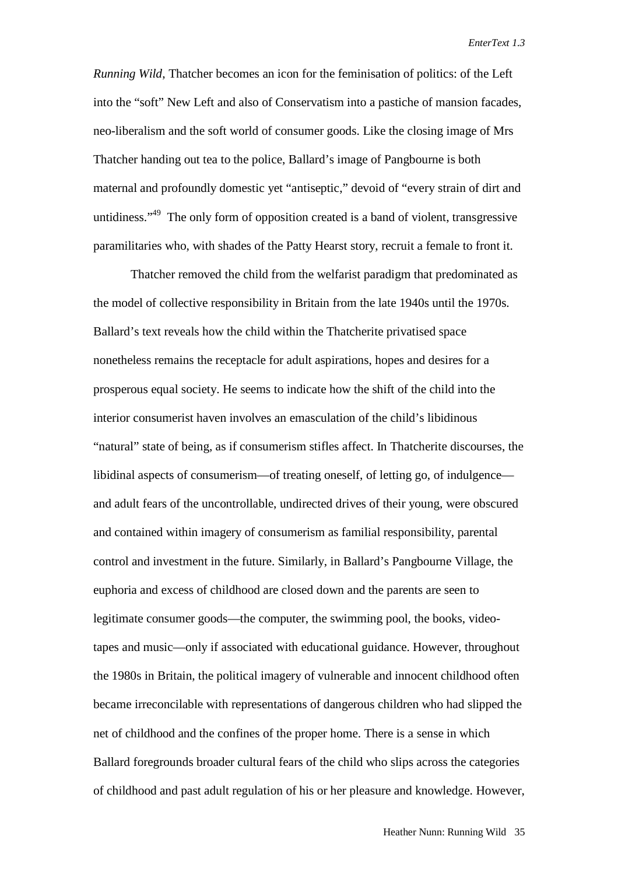*Running Wild*, Thatcher becomes an icon for the feminisation of politics: of the Left into the "soft" New Left and also of Conservatism into a pastiche of mansion facades, neo-liberalism and the soft world of consumer goods. Like the closing image of Mrs Thatcher handing out tea to the police, Ballard's image of Pangbourne is both maternal and profoundly domestic yet "antiseptic," devoid of "every strain of dirt and untidiness."<sup>49</sup> The only form of opposition created is a band of violent, transgressive paramilitaries who, with shades of the Patty Hearst story, recruit a female to front it.

Thatcher removed the child from the welfarist paradigm that predominated as the model of collective responsibility in Britain from the late 1940s until the 1970s. Ballard's text reveals how the child within the Thatcherite privatised space nonetheless remains the receptacle for adult aspirations, hopes and desires for a prosperous equal society. He seems to indicate how the shift of the child into the interior consumerist haven involves an emasculation of the child's libidinous "natural" state of being, as if consumerism stifles affect. In Thatcherite discourses, the libidinal aspects of consumerism—of treating oneself, of letting go, of indulgence and adult fears of the uncontrollable, undirected drives of their young, were obscured and contained within imagery of consumerism as familial responsibility, parental control and investment in the future. Similarly, in Ballard's Pangbourne Village, the euphoria and excess of childhood are closed down and the parents are seen to legitimate consumer goods—the computer, the swimming pool, the books, videotapes and music—only if associated with educational guidance. However, throughout the 1980s in Britain, the political imagery of vulnerable and innocent childhood often became irreconcilable with representations of dangerous children who had slipped the net of childhood and the confines of the proper home. There is a sense in which Ballard foregrounds broader cultural fears of the child who slips across the categories of childhood and past adult regulation of his or her pleasure and knowledge. However,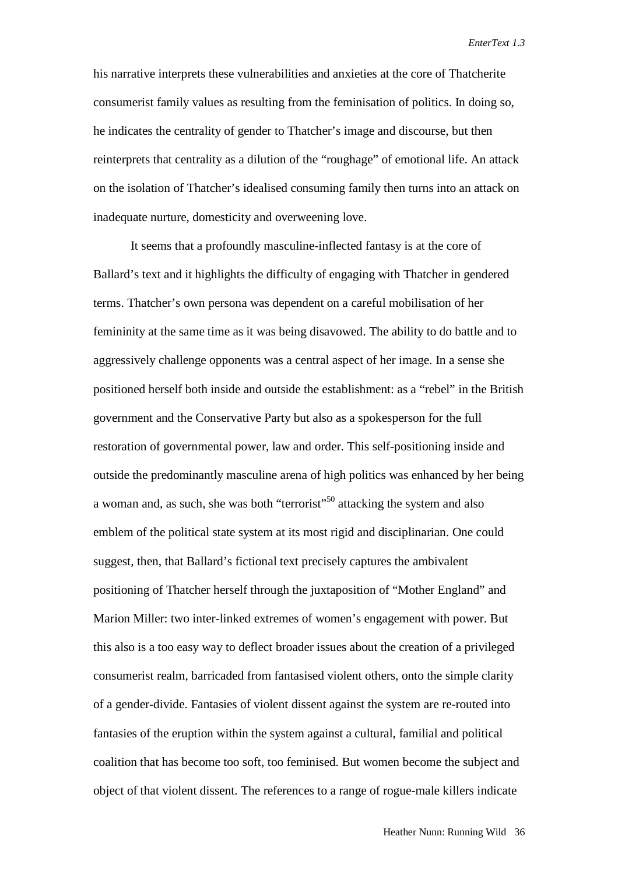his narrative interprets these vulnerabilities and anxieties at the core of Thatcherite consumerist family values as resulting from the feminisation of politics. In doing so, he indicates the centrality of gender to Thatcher's image and discourse, but then reinterprets that centrality as a dilution of the "roughage" of emotional life. An attack on the isolation of Thatcher's idealised consuming family then turns into an attack on inadequate nurture, domesticity and overweening love.

It seems that a profoundly masculine-inflected fantasy is at the core of Ballard's text and it highlights the difficulty of engaging with Thatcher in gendered terms. Thatcher's own persona was dependent on a careful mobilisation of her femininity at the same time as it was being disavowed. The ability to do battle and to aggressively challenge opponents was a central aspect of her image. In a sense she positioned herself both inside and outside the establishment: as a "rebel" in the British government and the Conservative Party but also as a spokesperson for the full restoration of governmental power, law and order. This self-positioning inside and outside the predominantly masculine arena of high politics was enhanced by her being a woman and, as such, she was both "terrorist"<sup>50</sup> attacking the system and also emblem of the political state system at its most rigid and disciplinarian. One could suggest, then, that Ballard's fictional text precisely captures the ambivalent positioning of Thatcher herself through the juxtaposition of "Mother England" and Marion Miller: two inter-linked extremes of women's engagement with power. But this also is a too easy way to deflect broader issues about the creation of a privileged consumerist realm, barricaded from fantasised violent others, onto the simple clarity of a gender-divide. Fantasies of violent dissent against the system are re-routed into fantasies of the eruption within the system against a cultural, familial and political coalition that has become too soft, too feminised. But women become the subject and object of that violent dissent. The references to a range of rogue-male killers indicate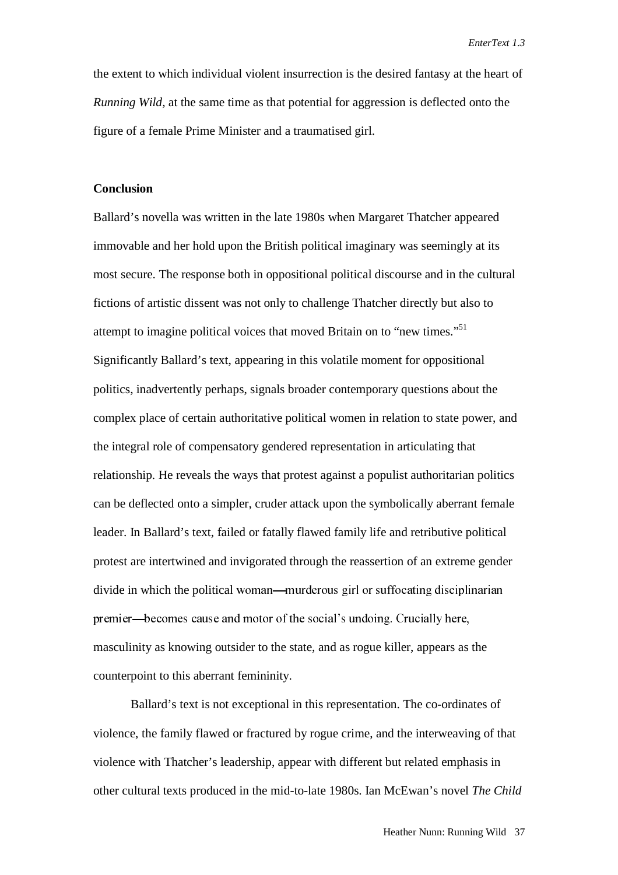the extent to which individual violent insurrection is the desired fantasy at the heart of *Running Wild,* at the same time as that potential for aggression is deflected onto the figure of a female Prime Minister and a traumatised girl.

#### **Conclusion**

Ballard's novella was written in the late 1980s when Margaret Thatcher appeared immovable and her hold upon the British political imaginary was seemingly at its most secure. The response both in oppositional political discourse and in the cultural fictions of artistic dissent was not only to challenge Thatcher directly but also to attempt to imagine political voices that moved Britain on to "new times."<sup>51</sup> Significantly Ballard's text, appearing in this volatile moment for oppositional politics, inadvertently perhaps, signals broader contemporary questions about the complex place of certain authoritative political women in relation to state power, and the integral role of compensatory gendered representation in articulating that relationship. He reveals the ways that protest against a populist authoritarian politics can be deflected onto a simpler, cruder attack upon the symbolically aberrant female leader. In Ballard's text, failed or fatally flawed family life and retributive political protest are intertwined and invigorated through the reassertion of an extreme gender divide in which the political woman—murderous girl or suffocating disciplinarian premier—becomes cause and motor of the social's undoing. Crucially here, masculinity as knowing outsider to the state, and as rogue killer, appears as the counterpoint to this aberrant femininity.

Ballard's text is not exceptional in this representation. The co-ordinates of violence, the family flawed or fractured by rogue crime, and the interweaving of that violence with Thatcher's leadership, appear with different but related emphasis in other cultural texts produced in the mid-to-late 1980s. Ian McEwan's novel *The Child*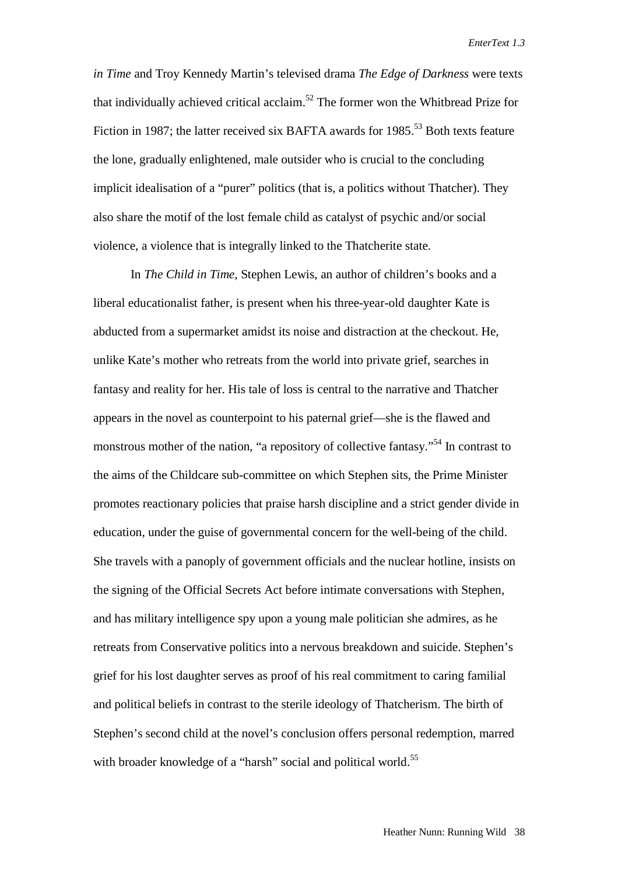*in Time* and Troy Kennedy Martin's televised drama *The Edge of Darkness* were texts that individually achieved critical acclaim.<sup>52</sup> The former won the Whitbread Prize for Fiction in 1987; the latter received six BAFTA awards for 1985.<sup>53</sup> Both texts feature the lone, gradually enlightened, male outsider who is crucial to the concluding implicit idealisation of a "purer" politics (that is, a politics without Thatcher). They also share the motif of the lost female child as catalyst of psychic and/or social violence, a violence that is integrally linked to the Thatcherite state.

In *The Child in Time*, Stephen Lewis, an author of children's books and a liberal educationalist father, is present when his three-year-old daughter Kate is abducted from a supermarket amidst its noise and distraction at the checkout. He, unlike Kate's mother who retreats from the world into private grief, searches in fantasy and reality for her. His tale of loss is central to the narrative and Thatcher appears in the novel as counterpoint to his paternal grief—she is the flawed and monstrous mother of the nation, "a repository of collective fantasy."<sup>54</sup> In contrast to the aims of the Childcare sub-committee on which Stephen sits, the Prime Minister promotes reactionary policies that praise harsh discipline and a strict gender divide in education, under the guise of governmental concern for the well-being of the child. She travels with a panoply of government officials and the nuclear hotline, insists on the signing of the Official Secrets Act before intimate conversations with Stephen, and has military intelligence spy upon a young male politician she admires, as he retreats from Conservative politics into a nervous breakdown and suicide. Stephen's grief for his lost daughter serves as proof of his real commitment to caring familial and political beliefs in contrast to the sterile ideology of Thatcherism. The birth of Stephen's second child at the novel's conclusion offers personal redemption, marred with broader knowledge of a "harsh" social and political world.<sup>55</sup>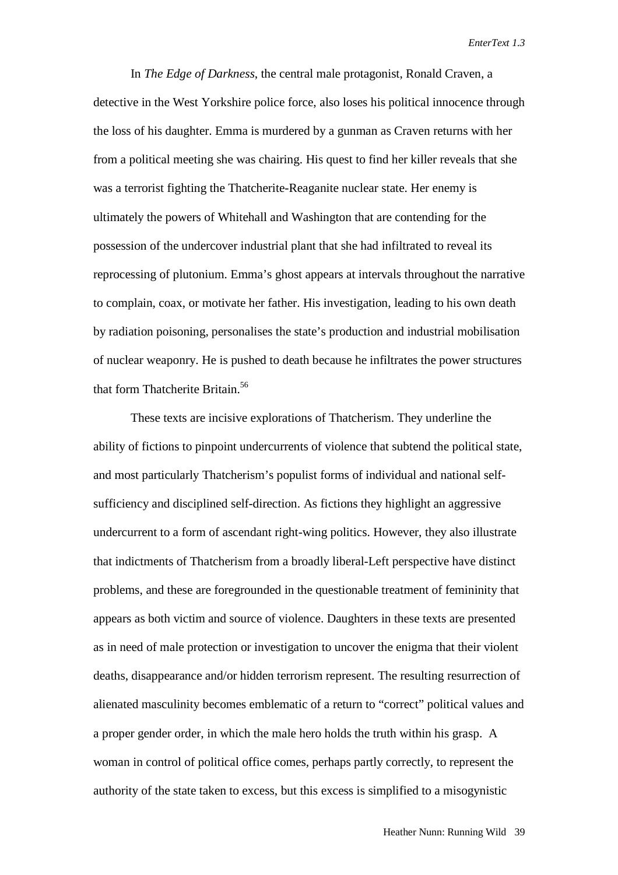In *The Edge of Darkness*, the central male protagonist, Ronald Craven, a detective in the West Yorkshire police force, also loses his political innocence through the loss of his daughter. Emma is murdered by a gunman as Craven returns with her from a political meeting she was chairing. His quest to find her killer reveals that she was a terrorist fighting the Thatcherite-Reaganite nuclear state. Her enemy is ultimately the powers of Whitehall and Washington that are contending for the possession of the undercover industrial plant that she had infiltrated to reveal its reprocessing of plutonium. Emma's ghost appears at intervals throughout the narrative to complain, coax, or motivate her father. His investigation, leading to his own death by radiation poisoning, personalises the state's production and industrial mobilisation of nuclear weaponry. He is pushed to death because he infiltrates the power structures that form Thatcherite Britain.<sup>56</sup>

These texts are incisive explorations of Thatcherism. They underline the ability of fictions to pinpoint undercurrents of violence that subtend the political state, and most particularly Thatcherism's populist forms of individual and national selfsufficiency and disciplined self-direction. As fictions they highlight an aggressive undercurrent to a form of ascendant right-wing politics. However, they also illustrate that indictments of Thatcherism from a broadly liberal-Left perspective have distinct problems, and these are foregrounded in the questionable treatment of femininity that appears as both victim and source of violence. Daughters in these texts are presented as in need of male protection or investigation to uncover the enigma that their violent deaths, disappearance and/or hidden terrorism represent. The resulting resurrection of alienated masculinity becomes emblematic of a return to "correct" political values and a proper gender order, in which the male hero holds the truth within his grasp. A woman in control of political office comes, perhaps partly correctly, to represent the authority of the state taken to excess, but this excess is simplified to a misogynistic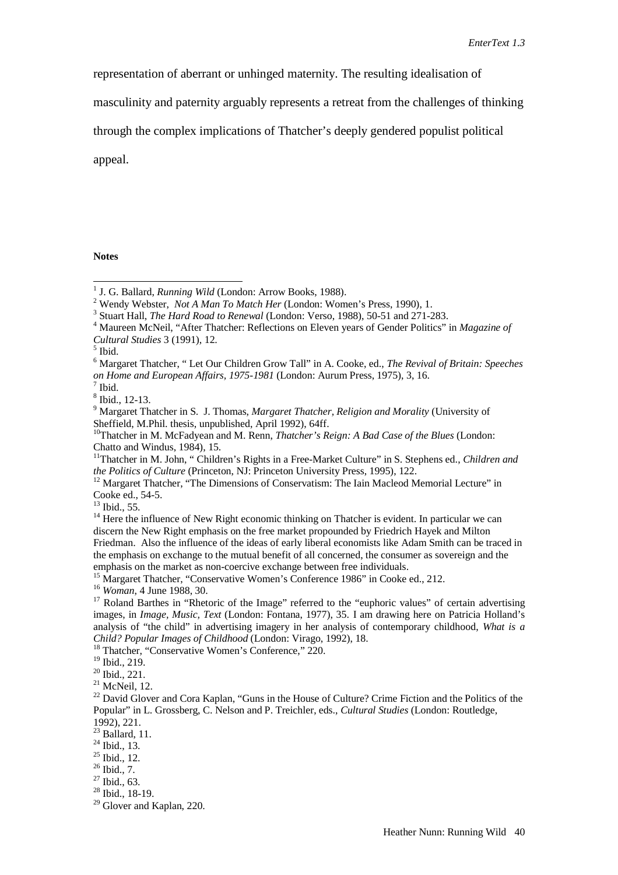representation of aberrant or unhinged maternity. The resulting idealisation of

masculinity and paternity arguably represents a retreat from the challenges of thinking

through the complex implications of Thatcher's deeply gendered populist political

appeal.

**Notes**

- <sup>3</sup> Stuart Hall, *The Hard Road to Renewal* (London: Verso, 1988), 50-51 and 271-283.
- Maureen McNeil, "After Thatcher: Reflections on Eleven years of Gender Politics" in *Magazine of Cultural Studies* 3 (1991), 12. <sup>5</sup> Ibid.

 $^{13}$  Ibid., 55.

<sup>&</sup>lt;sup>1</sup> J. G. Ballard, *Running Wild* (London: Arrow Books, 1988).<br><sup>2</sup> Wondy Webster, *Not A Man To Mateh Her* (London: Wom

<sup>&</sup>lt;sup>2</sup> Wendy Webster, *Not A Man To Match Her* (London: Women's Press, 1990), 1.

<sup>6</sup> Margaret Thatcher, " Let Our Children Grow Tall" in A. Cooke, ed., *The Revival of Britain: Speeches on Home and European Affairs, 1975-1981* (London: Aurum Press, 1975), 3, 16. <sup>7</sup> Ibid.

<sup>8</sup> Ibid., 12-13.

<sup>9</sup> Margaret Thatcher in S. J. Thomas, *Margaret Thatcher, Religion and Morality* (University of

Sheffield, M.Phil. thesis, unpublished, April 1992), 64ff.<br><sup>10</sup>Thatcher in M. McFadyean and M. Renn, *Thatcher's Reign: A Bad Case of the Blues* (London: Chatto and Windus, 1984), 15.

<sup>&</sup>lt;sup>11</sup>Thatcher in M. John, "Children's Rights in a Free-Market Culture" in S. Stephens ed., *Children and the Politics of Culture* (Princeton, NJ: Princeton University Press, 1995), 122.

<sup>&</sup>lt;sup>12</sup> Margaret Thatcher, "The Dimensions of Conservatism: The Iain Macleod Memorial Lecture" in Cooke ed., 54-5.

<sup>&</sup>lt;sup>14</sup> Here the influence of New Right economic thinking on Thatcher is evident. In particular we can discern the New Right emphasis on the free market propounded by Friedrich Hayek and Milton Friedman. Also the influence of the ideas of early liberal economists like Adam Smith can be traced in the emphasis on exchange to the mutual benefit of all concerned, the consumer as sovereign and the emphasis on the market as non-coercive exchange between free individuals.

<sup>&</sup>lt;sup>15</sup> Margaret Thatcher, "Conservative Women's Conference 1986" in Cooke ed., 212.

<sup>&</sup>lt;sup>16</sup> *Woman*, 4 June 1988, 30.<br><sup>17</sup> Roland Barthes in "Rhetoric of the Image" referred to the "euphoric values" of certain advertising images, in *Image, Music, Text* (London: Fontana, 1977), 35. I am drawing here on Patricia Holland's analysis of "the child" in advertising imagery in her analysis of contemporary childhood, *What is a Child? Popular Images of Childhood* (London: Virago, 1992), 18. 18 Thatcher, "Conservative Women's Conference," 220.

<sup>19</sup> Ibid., 219.

<sup>20</sup> Ibid., 221.

 $21$  McNeil, 12.

<sup>&</sup>lt;sup>22</sup> David Glover and Cora Kaplan, "Guns in the House of Culture? Crime Fiction and the Politics of the Popular" in L. Grossberg, C. Nelson and P. Treichler, eds., *Cultural Studies* (London: Routledge, 1992), 221.

 $23$  Ballard, 11.

<sup>24</sup> Ibid., 13.

<sup>&</sup>lt;sup>25</sup> Ibid., 12.

<sup>26</sup> Ibid., 7.

 $27$  Ibid., 63.

 $28$  Ibid., 18-19.

<sup>&</sup>lt;sup>29</sup> Glover and Kaplan, 220.